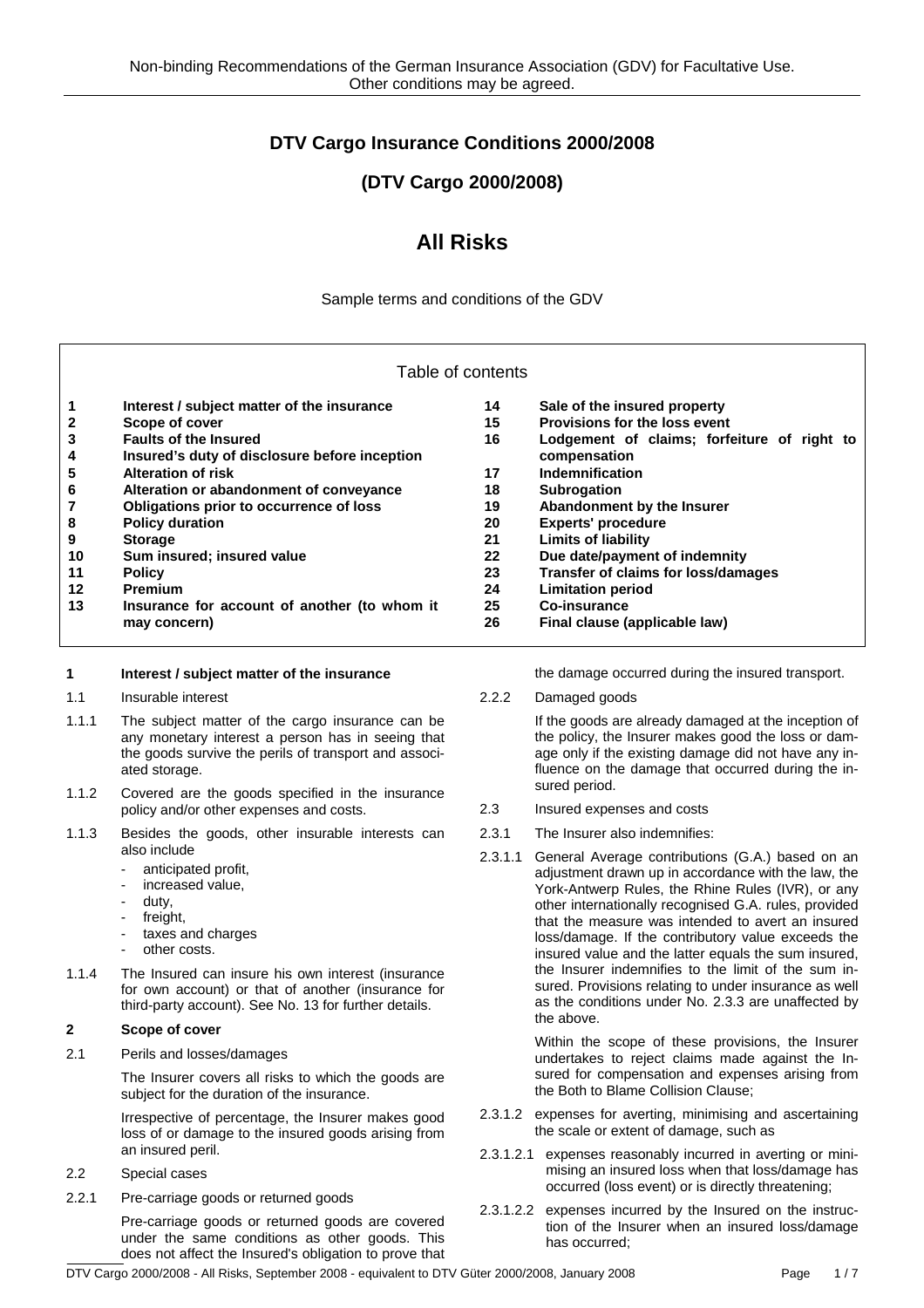# **DTV Cargo Insurance Conditions 2000/2008**

# **(DTV Cargo 2000/2008)**

# **All Risks**

Sample terms and conditions of the GDV

| Table of contents                                                                               |                                                                                                                                                                                                                                                                  |                                        |                                                                                                                                                                                                                                                                                                                                                                                          |  |
|-------------------------------------------------------------------------------------------------|------------------------------------------------------------------------------------------------------------------------------------------------------------------------------------------------------------------------------------------------------------------|----------------------------------------|------------------------------------------------------------------------------------------------------------------------------------------------------------------------------------------------------------------------------------------------------------------------------------------------------------------------------------------------------------------------------------------|--|
| 1<br>$\boldsymbol{2}$<br>3<br>4<br>5<br>6<br>7                                                  | Interest / subject matter of the insurance<br>Scope of cover<br><b>Faults of the Insured</b><br>Insured's duty of disclosure before inception<br><b>Alteration of risk</b><br>Alteration or abandonment of conveyance<br>Obligations prior to occurrence of loss | 14<br>15<br>16<br>17<br>18<br>19       | Sale of the insured property<br>Provisions for the loss event<br>Lodgement of claims; forfeiture of right to<br>compensation<br>Indemnification<br>Subrogation<br>Abandonment by the Insurer                                                                                                                                                                                             |  |
| 8<br>$\boldsymbol{9}$<br>10<br>11<br>12<br>13                                                   | <b>Policy duration</b><br><b>Storage</b><br>Sum insured; insured value<br><b>Policy</b><br><b>Premium</b><br>Insurance for account of another (to whom it<br>may concern)                                                                                        | 20<br>21<br>22<br>23<br>24<br>25<br>26 | <b>Experts' procedure</b><br><b>Limits of liability</b><br>Due date/payment of indemnity<br><b>Transfer of claims for loss/damages</b><br><b>Limitation period</b><br><b>Co-insurance</b><br>Final clause (applicable law)                                                                                                                                                               |  |
| 1                                                                                               | Interest / subject matter of the insurance                                                                                                                                                                                                                       |                                        | the damage occurred during the insured transport.                                                                                                                                                                                                                                                                                                                                        |  |
| 1.1                                                                                             | Insurable interest                                                                                                                                                                                                                                               | 2.2.2                                  | Damaged goods                                                                                                                                                                                                                                                                                                                                                                            |  |
| 1.1.1                                                                                           | The subject matter of the cargo insurance can be<br>any monetary interest a person has in seeing that<br>the goods survive the perils of transport and associ-<br>ated storage.                                                                                  |                                        | If the goods are already damaged at the inception of<br>the policy, the Insurer makes good the loss or dam-<br>age only if the existing damage did not have any in-<br>fluence on the damage that occurred during the in-<br>sured period.                                                                                                                                               |  |
| 1.1.2                                                                                           | Covered are the goods specified in the insurance<br>policy and/or other expenses and costs.                                                                                                                                                                      | 2.3                                    | Insured expenses and costs                                                                                                                                                                                                                                                                                                                                                               |  |
| 1.1.3                                                                                           | Besides the goods, other insurable interests can                                                                                                                                                                                                                 | 2.3.1                                  | The Insurer also indemnifies:                                                                                                                                                                                                                                                                                                                                                            |  |
| also include<br>$\overline{\phantom{a}}$<br>duty,<br>$\blacksquare$<br>freight,<br>other costs. | anticipated profit,<br>increased value,<br>taxes and charges                                                                                                                                                                                                     | 2.3.1.1                                | General Average contributions (G.A.) based on an<br>adjustment drawn up in accordance with the law, the<br>York-Antwerp Rules, the Rhine Rules (IVR), or any<br>other internationally recognised G.A. rules, provided<br>that the measure was intended to avert an insured<br>loss/damage. If the contributory value exceeds the<br>insured value and the latter equals the sum insured, |  |
| 1.1.4                                                                                           | The Insured can insure his own interest (insurance<br>for own account) or that of another (insurance for<br>third-party account). See No. 13 for further details.                                                                                                |                                        | the Insurer indemnifies to the limit of the sum in-<br>sured. Provisions relating to under insurance as well<br>as the conditions under No. 2.3.3 are unaffected by<br>the above.                                                                                                                                                                                                        |  |
| $\mathbf{2}$                                                                                    | Scope of cover                                                                                                                                                                                                                                                   |                                        | Within the scope of these provisions, the Insurer                                                                                                                                                                                                                                                                                                                                        |  |
| 2.1                                                                                             | Perils and losses/damages<br>The Insurer covers all risks to which the goods are<br>subject for the duration of the insurance.                                                                                                                                   |                                        | undertakes to reject claims made against the In-<br>sured for compensation and expenses arising from<br>the Both to Blame Collision Clause;                                                                                                                                                                                                                                              |  |
|                                                                                                 | Irrespective of percentage, the Insurer makes good<br>loss of or damage to the insured goods arising from<br>an insured peril.                                                                                                                                   | 2.3.1.2.1                              | 2.3.1.2 expenses for averting, minimising and ascertaining<br>the scale or extent of damage, such as<br>expenses reasonably incurred in averting or mini-                                                                                                                                                                                                                                |  |
| 2.2                                                                                             | Special cases                                                                                                                                                                                                                                                    |                                        | mising an insured loss when that loss/damage has<br>occurred (loss event) or is directly threatening;                                                                                                                                                                                                                                                                                    |  |
| 2.2.1                                                                                           | Pre-carriage goods or returned goods                                                                                                                                                                                                                             |                                        |                                                                                                                                                                                                                                                                                                                                                                                          |  |

2.3.1.2.2 expenses incurred by the Insured on the instruction of the Insurer when an insured loss/damage has occurred;

DTV Cargo 2000/2008 - All Risks, September 2008 - equivalent to DTV Güter 2000/2008, January 2008 Page 1/7

 Pre-carriage goods or returned goods are covered under the same conditions as other goods. This does not affect the Insured's obligation to prove that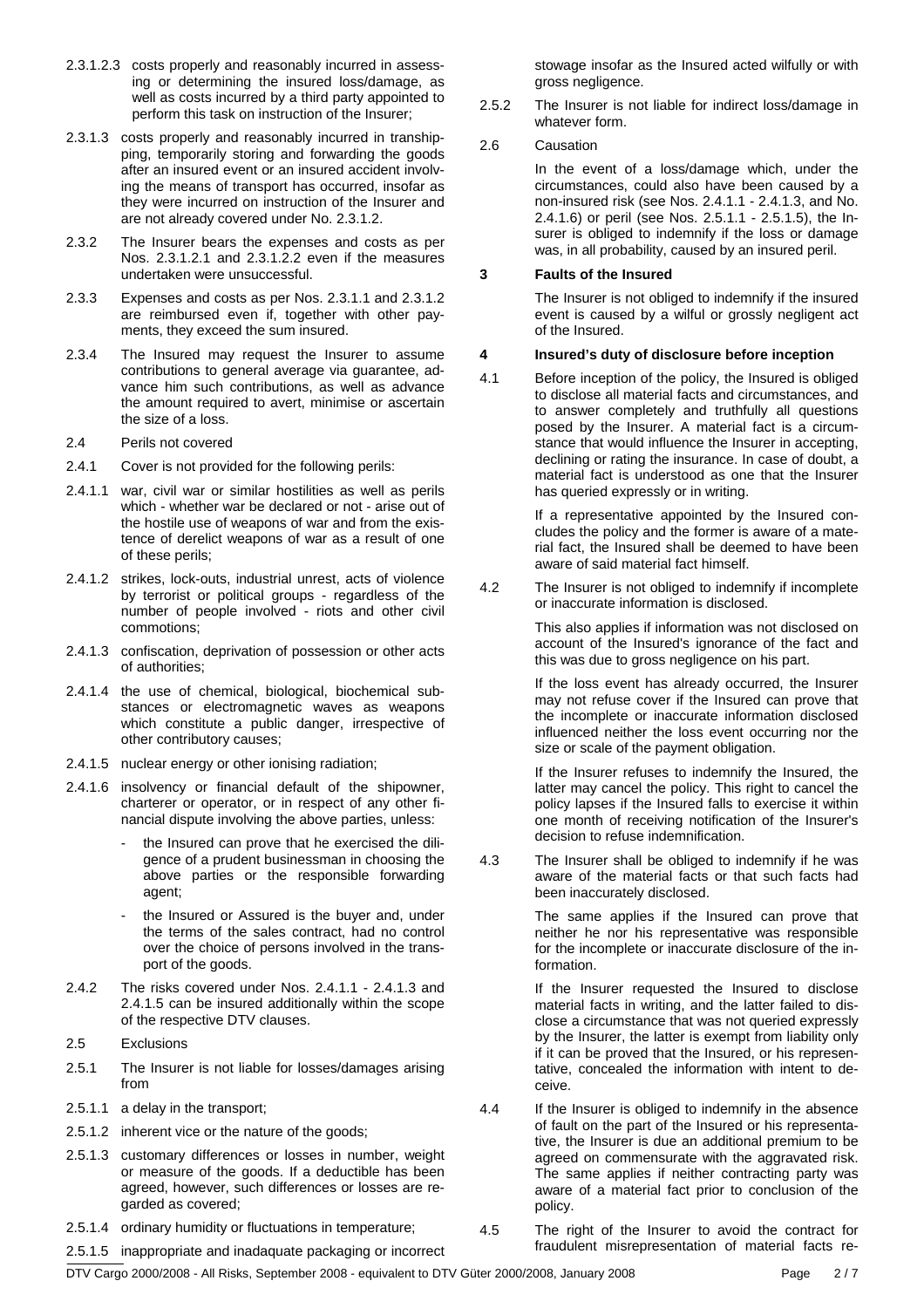- 2.3.1.2.3 costs properly and reasonably incurred in assessing or determining the insured loss/damage, as well as costs incurred by a third party appointed to perform this task on instruction of the Insurer;
- 2.3.1.3 costs properly and reasonably incurred in transhipping, temporarily storing and forwarding the goods after an insured event or an insured accident involving the means of transport has occurred, insofar as they were incurred on instruction of the Insurer and are not already covered under No. 2.3.1.2.
- 2.3.2 The Insurer bears the expenses and costs as per Nos. 2.3.1.2.1 and 2.3.1.2.2 even if the measures undertaken were unsuccessful.
- 2.3.3 Expenses and costs as per Nos. 2.3.1.1 and 2.3.1.2 are reimbursed even if, together with other payments, they exceed the sum insured.
- 2.3.4 The Insured may request the Insurer to assume contributions to general average via guarantee, advance him such contributions, as well as advance the amount required to avert, minimise or ascertain the size of a loss.
- 2.4 Perils not covered
- 2.4.1 Cover is not provided for the following perils:
- 2.4.1.1 war, civil war or similar hostilities as well as perils which - whether war be declared or not - arise out of the hostile use of weapons of war and from the existence of derelict weapons of war as a result of one of these perils;
- 2.4.1.2 strikes, lock-outs, industrial unrest, acts of violence by terrorist or political groups - regardless of the number of people involved - riots and other civil commotions;
- 2.4.1.3 confiscation, deprivation of possession or other acts of authorities;
- 2.4.1.4 the use of chemical, biological, biochemical substances or electromagnetic waves as weapons which constitute a public danger, irrespective of other contributory causes;
- 2.4.1.5 nuclear energy or other ionising radiation;
- 2.4.1.6 insolvency or financial default of the shipowner, charterer or operator, or in respect of any other financial dispute involving the above parties, unless:
	- the Insured can prove that he exercised the diligence of a prudent businessman in choosing the above parties or the responsible forwarding agent;
	- the Insured or Assured is the buver and, under the terms of the sales contract, had no control over the choice of persons involved in the transport of the goods.
- 2.4.2 The risks covered under Nos. 2.4.1.1 2.4.1.3 and 2.4.1.5 can be insured additionally within the scope of the respective DTV clauses.
- 2.5 Exclusions
- 2.5.1 The Insurer is not liable for losses/damages arising from
- 2.5.1.1 a delay in the transport;
- 2.5.1.2 inherent vice or the nature of the goods;
- 2.5.1.3 customary differences or losses in number, weight or measure of the goods. If a deductible has been agreed, however, such differences or losses are regarded as covered;
- 2.5.1.4 ordinary humidity or fluctuations in temperature;

stowage insofar as the Insured acted wilfully or with gross negligence.

2.5.2 The Insurer is not liable for indirect loss/damage in whatever form.

#### 2.6 Causation

 In the event of a loss/damage which, under the circumstances, could also have been caused by a non-insured risk (see Nos. 2.4.1.1 - 2.4.1.3, and No. 2.4.1.6) or peril (see Nos. 2.5.1.1 - 2.5.1.5), the Insurer is obliged to indemnify if the loss or damage was, in all probability, caused by an insured peril.

#### **3 Faults of the Insured**

 The Insurer is not obliged to indemnify if the insured event is caused by a wilful or grossly negligent act of the Insured.

#### **4 Insured's duty of disclosure before inception**

4.1 Before inception of the policy, the Insured is obliged to disclose all material facts and circumstances, and to answer completely and truthfully all questions posed by the Insurer. A material fact is a circumstance that would influence the Insurer in accepting, declining or rating the insurance. In case of doubt, a material fact is understood as one that the Insurer has queried expressly or in writing.

> If a representative appointed by the Insured concludes the policy and the former is aware of a material fact, the Insured shall be deemed to have been aware of said material fact himself.

4.2 The Insurer is not obliged to indemnify if incomplete or inaccurate information is disclosed.

> This also applies if information was not disclosed on account of the Insured's ignorance of the fact and this was due to gross negligence on his part.

> If the loss event has already occurred, the Insurer may not refuse cover if the Insured can prove that the incomplete or inaccurate information disclosed influenced neither the loss event occurring nor the size or scale of the payment obligation.

> If the Insurer refuses to indemnify the Insured, the latter may cancel the policy. This right to cancel the policy lapses if the Insured falls to exercise it within one month of receiving notification of the Insurer's decision to refuse indemnification.

4.3 The Insurer shall be obliged to indemnify if he was aware of the material facts or that such facts had been inaccurately disclosed.

> The same applies if the Insured can prove that neither he nor his representative was responsible for the incomplete or inaccurate disclosure of the information.

> If the Insurer requested the Insured to disclose material facts in writing, and the latter failed to disclose a circumstance that was not queried expressly by the Insurer, the latter is exempt from liability only if it can be proved that the Insured, or his representative, concealed the information with intent to deceive.

- 4.4 If the Insurer is obliged to indemnify in the absence of fault on the part of the Insured or his representative, the Insurer is due an additional premium to be agreed on commensurate with the aggravated risk. The same applies if neither contracting party was aware of a material fact prior to conclusion of the policy.
- 4.5 The right of the Insurer to avoid the contract for fraudulent misrepresentation of material facts re-

2.5.1.5 inappropriate and inadaquate packaging or incorrect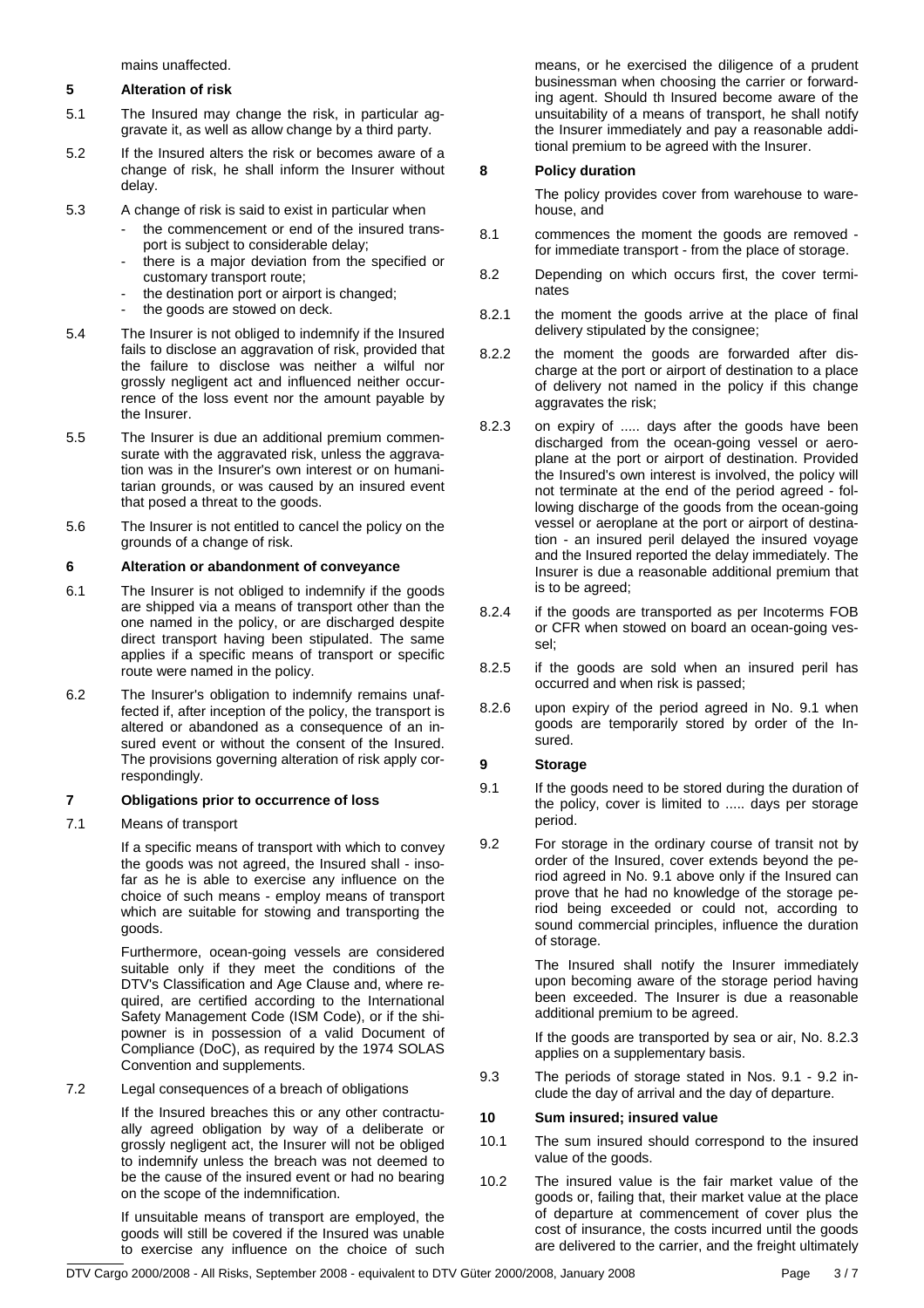mains unaffected.

#### **5 Alteration of risk**

- 5.1 The Insured may change the risk, in particular aggravate it, as well as allow change by a third party.
- 5.2 If the Insured alters the risk or becomes aware of a change of risk, he shall inform the Insurer without delay.
- 5.3 A change of risk is said to exist in particular when
	- the commencement or end of the insured transport is subject to considerable delay;
	- there is a major deviation from the specified or customary transport route;
	- the destination port or airport is changed;
	- the goods are stowed on deck.
- 5.4 The Insurer is not obliged to indemnify if the Insured fails to disclose an aggravation of risk, provided that the failure to disclose was neither a wilful nor grossly negligent act and influenced neither occurrence of the loss event nor the amount payable by the Insurer.
- 5.5 The Insurer is due an additional premium commensurate with the aggravated risk, unless the aggravation was in the Insurer's own interest or on humanitarian grounds, or was caused by an insured event that posed a threat to the goods.
- 5.6 The Insurer is not entitled to cancel the policy on the grounds of a change of risk.

# **6 Alteration or abandonment of conveyance**

- 6.1 The Insurer is not obliged to indemnify if the goods are shipped via a means of transport other than the one named in the policy, or are discharged despite direct transport having been stipulated. The same applies if a specific means of transport or specific route were named in the policy.
- 6.2 The Insurer's obligation to indemnify remains unaffected if, after inception of the policy, the transport is altered or abandoned as a consequence of an insured event or without the consent of the Insured. The provisions governing alteration of risk apply correspondingly.

# **7 Obligations prior to occurrence of loss**

7.1 Means of transport

 If a specific means of transport with which to convey the goods was not agreed, the Insured shall - insofar as he is able to exercise any influence on the choice of such means - employ means of transport which are suitable for stowing and transporting the goods.

 Furthermore, ocean-going vessels are considered suitable only if they meet the conditions of the DTV's Classification and Age Clause and, where required, are certified according to the International Safety Management Code (ISM Code), or if the shipowner is in possession of a valid Document of Compliance (DoC), as required by the 1974 SOLAS Convention and supplements.

#### 7.2 Legal consequences of a breach of obligations

 If the Insured breaches this or any other contractually agreed obligation by way of a deliberate or grossly negligent act, the Insurer will not be obliged to indemnify unless the breach was not deemed to be the cause of the insured event or had no bearing on the scope of the indemnification.

 If unsuitable means of transport are employed, the goods will still be covered if the Insured was unable to exercise any influence on the choice of such

means, or he exercised the diligence of a prudent businessman when choosing the carrier or forwarding agent. Should th Insured become aware of the unsuitability of a means of transport, he shall notify the Insurer immediately and pay a reasonable additional premium to be agreed with the Insurer.

# **8 Policy duration**

 The policy provides cover from warehouse to warehouse, and

- 8.1 commences the moment the goods are removed for immediate transport - from the place of storage.
- 8.2 Depending on which occurs first, the cover terminates
- 8.2.1 the moment the goods arrive at the place of final delivery stipulated by the consignee;
- 8.2.2 the moment the goods are forwarded after discharge at the port or airport of destination to a place of delivery not named in the policy if this change aggravates the risk;
- 8.2.3 on expiry of ..... days after the goods have been discharged from the ocean-going vessel or aeroplane at the port or airport of destination. Provided the Insured's own interest is involved, the policy will not terminate at the end of the period agreed - following discharge of the goods from the ocean-going vessel or aeroplane at the port or airport of destination - an insured peril delayed the insured voyage and the Insured reported the delay immediately. The Insurer is due a reasonable additional premium that is to be agreed;
- 8.2.4 if the goods are transported as per Incoterms FOB or CFR when stowed on board an ocean-going vessel;
- 8.2.5 if the goods are sold when an insured peril has occurred and when risk is passed;
- 8.2.6 upon expiry of the period agreed in No. 9.1 when goods are temporarily stored by order of the Insured.

# **9 Storage**

- 9.1 If the goods need to be stored during the duration of the policy, cover is limited to ..... days per storage period.
- 9.2 For storage in the ordinary course of transit not by order of the Insured, cover extends beyond the period agreed in No. 9.1 above only if the Insured can prove that he had no knowledge of the storage period being exceeded or could not, according to sound commercial principles, influence the duration of storage.

 The Insured shall notify the Insurer immediately upon becoming aware of the storage period having been exceeded. The Insurer is due a reasonable additional premium to be agreed.

 If the goods are transported by sea or air, No. 8.2.3 applies on a supplementary basis.

9.3 The periods of storage stated in Nos. 9.1 - 9.2 include the day of arrival and the day of departure.

#### **10 Sum insured; insured value**

- 10.1 The sum insured should correspond to the insured value of the goods.
- 10.2 The insured value is the fair market value of the goods or, failing that, their market value at the place of departure at commencement of cover plus the cost of insurance, the costs incurred until the goods are delivered to the carrier, and the freight ultimately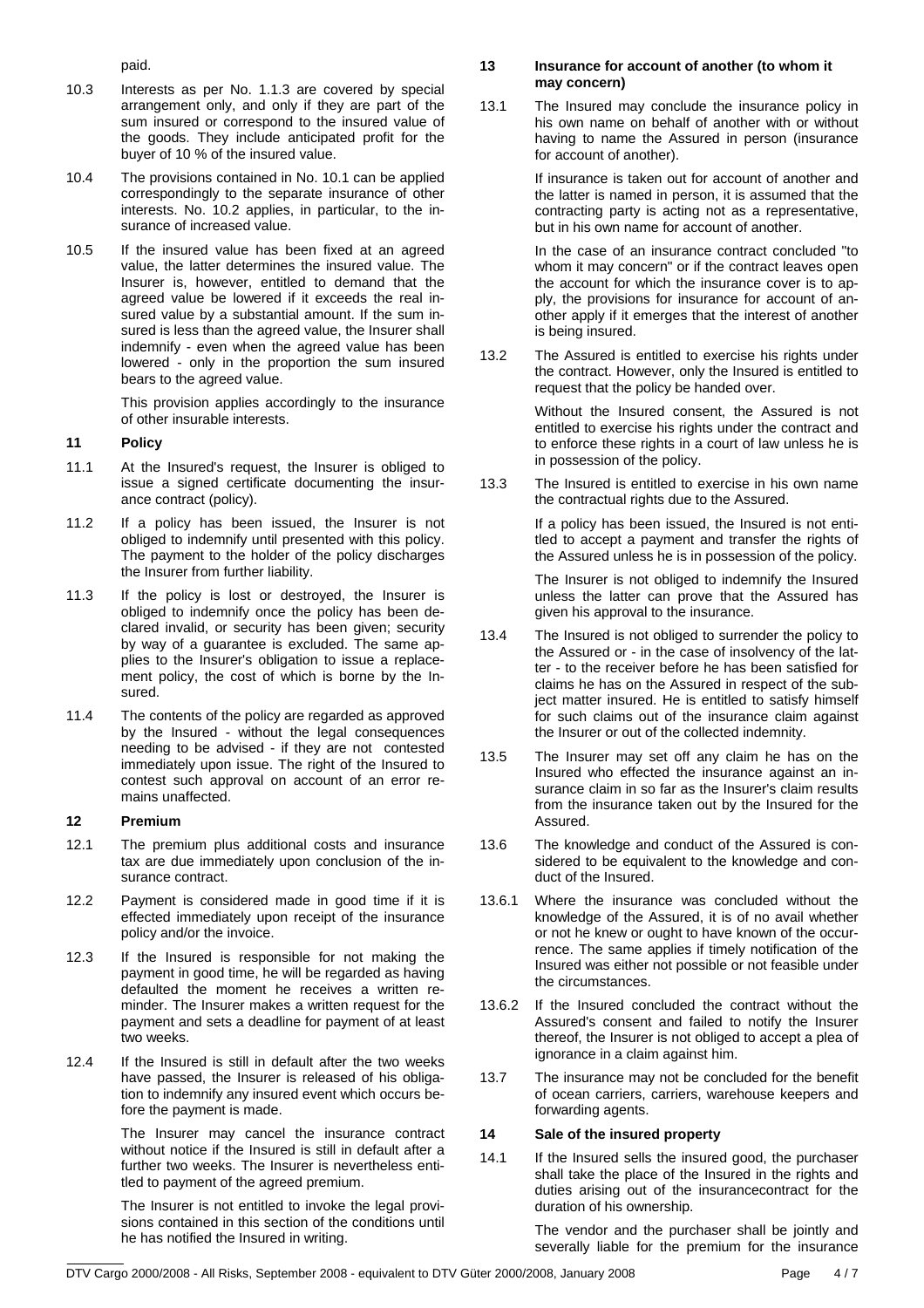paid.

- 10.3 Interests as per No. 1.1.3 are covered by special arrangement only, and only if they are part of the sum insured or correspond to the insured value of the goods. They include anticipated profit for the buyer of 10 % of the insured value.
- 10.4 The provisions contained in No. 10.1 can be applied correspondingly to the separate insurance of other interests. No. 10.2 applies, in particular, to the insurance of increased value.
- 10.5 If the insured value has been fixed at an agreed value, the latter determines the insured value. The Insurer is, however, entitled to demand that the agreed value be lowered if it exceeds the real insured value by a substantial amount. If the sum insured is less than the agreed value, the Insurer shall indemnify - even when the agreed value has been lowered - only in the proportion the sum insured bears to the agreed value.

 This provision applies accordingly to the insurance of other insurable interests.

# **11 Policy**

- 11.1 At the Insured's request, the Insurer is obliged to issue a signed certificate documenting the insurance contract (policy).
- 11.2 If a policy has been issued, the Insurer is not obliged to indemnify until presented with this policy. The payment to the holder of the policy discharges the Insurer from further liability.
- 11.3 If the policy is lost or destroyed, the Insurer is obliged to indemnify once the policy has been declared invalid, or security has been given; security by way of a guarantee is excluded. The same applies to the Insurer's obligation to issue a replacement policy, the cost of which is borne by the Insured.
- 11.4 The contents of the policy are regarded as approved by the Insured - without the legal consequences needing to be advised - if they are not contested immediately upon issue. The right of the Insured to contest such approval on account of an error remains unaffected.

#### **12 Premium**

- 12.1 The premium plus additional costs and insurance tax are due immediately upon conclusion of the insurance contract.
- 12.2 Payment is considered made in good time if it is effected immediately upon receipt of the insurance policy and/or the invoice.
- 12.3 If the Insured is responsible for not making the payment in good time, he will be regarded as having defaulted the moment he receives a written reminder. The Insurer makes a written request for the payment and sets a deadline for payment of at least two weeks.
- 12.4 If the Insured is still in default after the two weeks have passed, the Insurer is released of his obligation to indemnify any insured event which occurs before the payment is made.

 The Insurer may cancel the insurance contract without notice if the Insured is still in default after a further two weeks. The Insurer is nevertheless entitled to payment of the agreed premium.

 The Insurer is not entitled to invoke the legal provisions contained in this section of the conditions until he has notified the Insured in writing.

# **13 Insurance for account of another (to whom it may concern)**

13.1 The Insured may conclude the insurance policy in his own name on behalf of another with or without having to name the Assured in person (insurance for account of another).

> If insurance is taken out for account of another and the latter is named in person, it is assumed that the contracting party is acting not as a representative, but in his own name for account of another.

> In the case of an insurance contract concluded "to whom it may concern" or if the contract leaves open the account for which the insurance cover is to apply, the provisions for insurance for account of another apply if it emerges that the interest of another is being insured.

13.2 The Assured is entitled to exercise his rights under the contract. However, only the Insured is entitled to request that the policy be handed over.

> Without the Insured consent, the Assured is not entitled to exercise his rights under the contract and to enforce these rights in a court of law unless he is in possession of the policy.

13.3 The Insured is entitled to exercise in his own name the contractual rights due to the Assured.

> If a policy has been issued, the Insured is not entitled to accept a payment and transfer the rights of the Assured unless he is in possession of the policy.

> The Insurer is not obliged to indemnify the Insured unless the latter can prove that the Assured has given his approval to the insurance.

- 13.4 The Insured is not obliged to surrender the policy to the Assured or - in the case of insolvency of the latter - to the receiver before he has been satisfied for claims he has on the Assured in respect of the subject matter insured. He is entitled to satisfy himself for such claims out of the insurance claim against the Insurer or out of the collected indemnity.
- 13.5 The Insurer may set off any claim he has on the Insured who effected the insurance against an insurance claim in so far as the Insurer's claim results from the insurance taken out by the Insured for the Assured.
- 13.6 The knowledge and conduct of the Assured is considered to be equivalent to the knowledge and conduct of the Insured.
- 13.6.1 Where the insurance was concluded without the knowledge of the Assured, it is of no avail whether or not he knew or ought to have known of the occurrence. The same applies if timely notification of the Insured was either not possible or not feasible under the circumstances.
- 13.6.2 If the Insured concluded the contract without the Assured's consent and failed to notify the Insurer thereof, the Insurer is not obliged to accept a plea of ignorance in a claim against him.
- 13.7 The insurance may not be concluded for the benefit of ocean carriers, carriers, warehouse keepers and forwarding agents.

# **14 Sale of the insured property**

14.1 If the Insured sells the insured good, the purchaser shall take the place of the Insured in the rights and duties arising out of the insurancecontract for the duration of his ownership.

> The vendor and the purchaser shall be jointly and severally liable for the premium for the insurance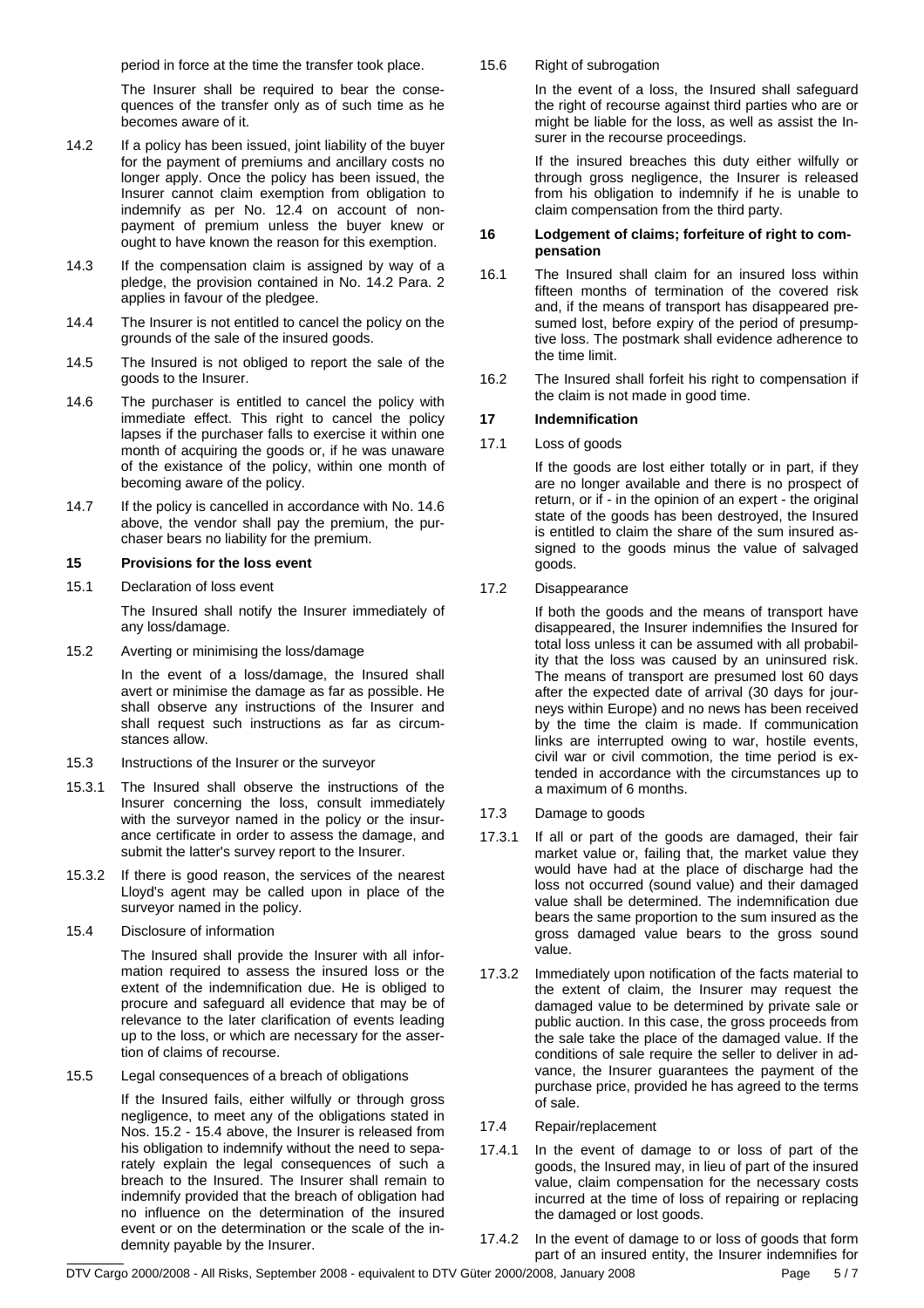period in force at the time the transfer took place.

 The Insurer shall be required to bear the consequences of the transfer only as of such time as he becomes aware of it.

- 14.2 If a policy has been issued, joint liability of the buyer for the payment of premiums and ancillary costs no longer apply. Once the policy has been issued, the Insurer cannot claim exemption from obligation to indemnify as per No. 12.4 on account of nonpayment of premium unless the buyer knew or ought to have known the reason for this exemption.
- 14.3 If the compensation claim is assigned by way of a pledge, the provision contained in No. 14.2 Para. 2 applies in favour of the pledgee.
- 14.4 The Insurer is not entitled to cancel the policy on the grounds of the sale of the insured goods.
- 14.5 The Insured is not obliged to report the sale of the goods to the Insurer.
- 14.6 The purchaser is entitled to cancel the policy with immediate effect. This right to cancel the policy lapses if the purchaser falls to exercise it within one month of acquiring the goods or, if he was unaware of the existance of the policy, within one month of becoming aware of the policy.
- 14.7 If the policy is cancelled in accordance with No. 14.6 above, the vendor shall pay the premium, the purchaser bears no liability for the premium.

# **15 Provisions for the loss event**

15.1 Declaration of loss event

 The Insured shall notify the Insurer immediately of any loss/damage.

15.2 Averting or minimising the loss/damage

 In the event of a loss/damage, the Insured shall avert or minimise the damage as far as possible. He shall observe any instructions of the Insurer and shall request such instructions as far as circumstances allow.

- 15.3 Instructions of the Insurer or the surveyor
- 15.3.1 The Insured shall observe the instructions of the Insurer concerning the loss, consult immediately with the surveyor named in the policy or the insurance certificate in order to assess the damage, and submit the latter's survey report to the Insurer.
- 15.3.2 If there is good reason, the services of the nearest Lloyd's agent may be called upon in place of the surveyor named in the policy.
- 15.4 Disclosure of information

 The Insured shall provide the Insurer with all information required to assess the insured loss or the extent of the indemnification due. He is obliged to procure and safeguard all evidence that may be of relevance to the later clarification of events leading up to the loss, or which are necessary for the assertion of claims of recourse.

15.5 Legal consequences of a breach of obligations

 If the Insured fails, either wilfully or through gross negligence, to meet any of the obligations stated in Nos. 15.2 - 15.4 above, the Insurer is released from his obligation to indemnify without the need to separately explain the legal consequences of such a breach to the Insured. The Insurer shall remain to indemnify provided that the breach of obligation had no influence on the determination of the insured event or on the determination or the scale of the indemnity payable by the Insurer.

15.6 Right of subrogation

 In the event of a loss, the Insured shall safeguard the right of recourse against third parties who are or might be liable for the loss, as well as assist the Insurer in the recourse proceedings.

 If the insured breaches this duty either wilfully or through gross negligence, the Insurer is released from his obligation to indemnify if he is unable to claim compensation from the third party.

#### **16 Lodgement of claims; forfeiture of right to compensation**

- 16.1 The Insured shall claim for an insured loss within fifteen months of termination of the covered risk and, if the means of transport has disappeared presumed lost, before expiry of the period of presumptive loss. The postmark shall evidence adherence to the time limit.
- 16.2 The Insured shall forfeit his right to compensation if the claim is not made in good time.

# **17 Indemnification**

17.1 Loss of goods

 If the goods are lost either totally or in part, if they are no longer available and there is no prospect of return, or if - in the opinion of an expert - the original state of the goods has been destroyed, the Insured is entitled to claim the share of the sum insured assigned to the goods minus the value of salvaged goods.

# 17.2 Disappearance

 If both the goods and the means of transport have disappeared, the Insurer indemnifies the Insured for total loss unless it can be assumed with all probability that the loss was caused by an uninsured risk. The means of transport are presumed lost 60 days after the expected date of arrival (30 days for journeys within Europe) and no news has been received by the time the claim is made. If communication links are interrupted owing to war, hostile events, civil war or civil commotion, the time period is extended in accordance with the circumstances up to a maximum of 6 months.

- 17.3 Damage to goods
- 17.3.1 If all or part of the goods are damaged, their fair market value or, failing that, the market value they would have had at the place of discharge had the loss not occurred (sound value) and their damaged value shall be determined. The indemnification due bears the same proportion to the sum insured as the gross damaged value bears to the gross sound value.
- 17.3.2 Immediately upon notification of the facts material to the extent of claim, the Insurer may request the damaged value to be determined by private sale or public auction. In this case, the gross proceeds from the sale take the place of the damaged value. If the conditions of sale require the seller to deliver in advance, the Insurer guarantees the payment of the purchase price, provided he has agreed to the terms of sale.
- 17.4 Repair/replacement
- 17.4.1 In the event of damage to or loss of part of the goods, the Insured may, in lieu of part of the insured value, claim compensation for the necessary costs incurred at the time of loss of repairing or replacing the damaged or lost goods.
- 17.4.2 In the event of damage to or loss of goods that form part of an insured entity, the Insurer indemnifies for

DTV Cargo 2000/2008 - All Risks, September 2008 - equivalent to DTV Güter 2000/2008, January 2008 Page F / 7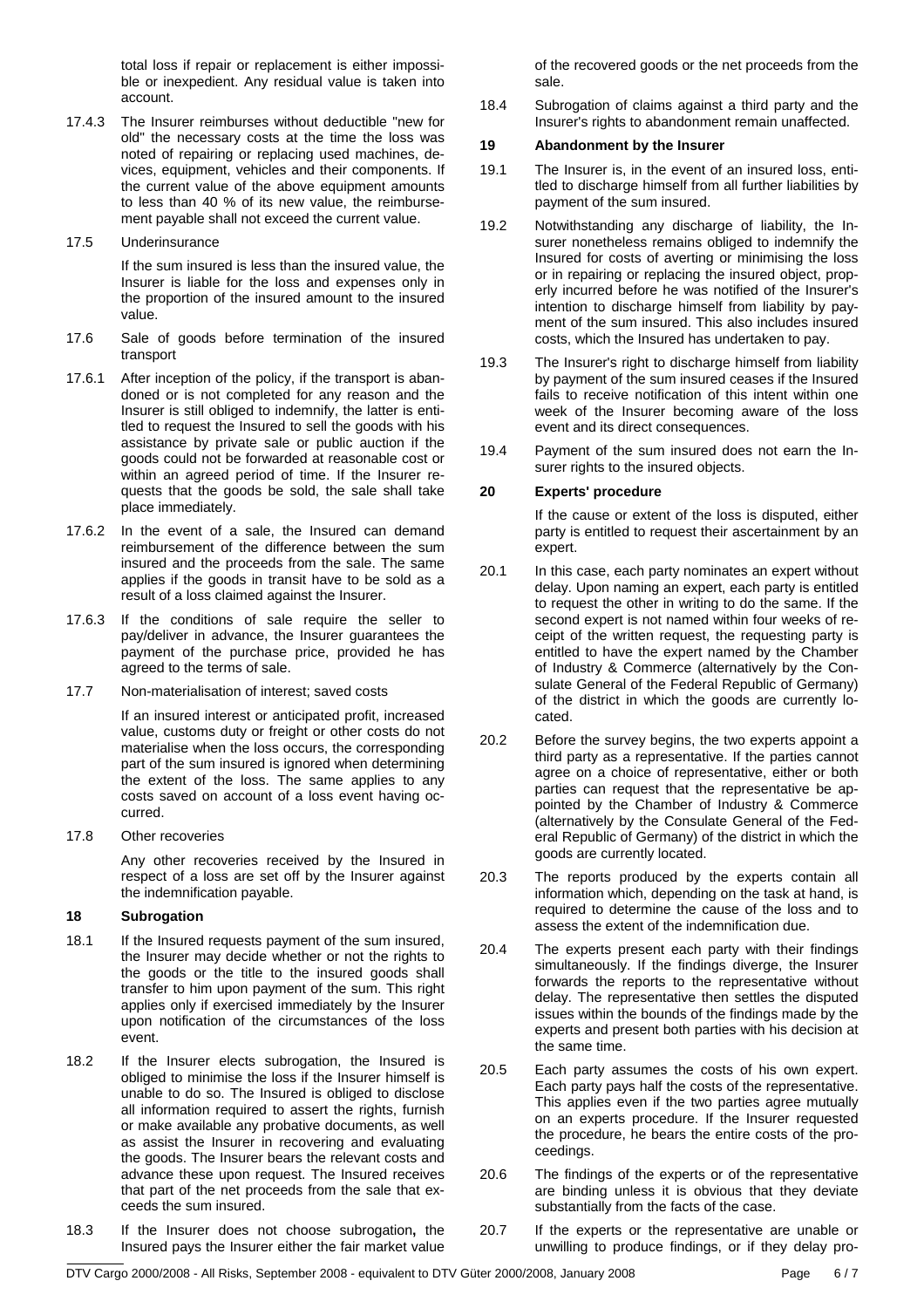total loss if repair or replacement is either impossible or inexpedient. Any residual value is taken into account.

17.4.3 The Insurer reimburses without deductible "new for old" the necessary costs at the time the loss was noted of repairing or replacing used machines, devices, equipment, vehicles and their components. If the current value of the above equipment amounts to less than 40 % of its new value, the reimbursement payable shall not exceed the current value.

#### 17.5 Underinsurance

 If the sum insured is less than the insured value, the Insurer is liable for the loss and expenses only in the proportion of the insured amount to the insured value.

- 17.6 Sale of goods before termination of the insured transport
- 17.6.1 After inception of the policy, if the transport is abandoned or is not completed for any reason and the Insurer is still obliged to indemnify, the latter is entitled to request the Insured to sell the goods with his assistance by private sale or public auction if the goods could not be forwarded at reasonable cost or within an agreed period of time. If the Insurer requests that the goods be sold, the sale shall take place immediately.
- 17.6.2 In the event of a sale, the Insured can demand reimbursement of the difference between the sum insured and the proceeds from the sale. The same applies if the goods in transit have to be sold as a result of a loss claimed against the Insurer.
- 17.6.3 If the conditions of sale require the seller to pay/deliver in advance, the Insurer guarantees the payment of the purchase price, provided he has agreed to the terms of sale.
- 17.7 Non-materialisation of interest; saved costs

 If an insured interest or anticipated profit, increased value, customs duty or freight or other costs do not materialise when the loss occurs, the corresponding part of the sum insured is ignored when determining the extent of the loss. The same applies to any costs saved on account of a loss event having occurred.

17.8 Other recoveries

 Any other recoveries received by the Insured in respect of a loss are set off by the Insurer against the indemnification payable.

#### **18 Subrogation**

- 18.1 If the Insured requests payment of the sum insured, the Insurer may decide whether or not the rights to the goods or the title to the insured goods shall transfer to him upon payment of the sum. This right applies only if exercised immediately by the Insurer upon notification of the circumstances of the loss event.
- 18.2 If the Insurer elects subrogation, the Insured is obliged to minimise the loss if the Insurer himself is unable to do so. The Insured is obliged to disclose all information required to assert the rights, furnish or make available any probative documents, as well as assist the Insurer in recovering and evaluating the goods. The Insurer bears the relevant costs and advance these upon request. The Insured receives that part of the net proceeds from the sale that exceeds the sum insured.
- 18.3 If the Insurer does not choose subrogation**,** the Insured pays the Insurer either the fair market value

of the recovered goods or the net proceeds from the sale.

18.4 Subrogation of claims against a third party and the Insurer's rights to abandonment remain unaffected.

#### **19 Abandonment by the Insurer**

- 19.1 The Insurer is, in the event of an insured loss, entitled to discharge himself from all further liabilities by payment of the sum insured.
- 19.2 Notwithstanding any discharge of liability, the Insurer nonetheless remains obliged to indemnify the Insured for costs of averting or minimising the loss or in repairing or replacing the insured object, properly incurred before he was notified of the Insurer's intention to discharge himself from liability by payment of the sum insured. This also includes insured costs, which the Insured has undertaken to pay.
- 19.3 The Insurer's right to discharge himself from liability by payment of the sum insured ceases if the Insured fails to receive notification of this intent within one week of the Insurer becoming aware of the loss event and its direct consequences.
- 19.4 Payment of the sum insured does not earn the Insurer rights to the insured objects.

#### **20 Experts' procedure**

 If the cause or extent of the loss is disputed, either party is entitled to request their ascertainment by an expert.

- 20.1 In this case, each party nominates an expert without delay. Upon naming an expert, each party is entitled to request the other in writing to do the same. If the second expert is not named within four weeks of receipt of the written request, the requesting party is entitled to have the expert named by the Chamber of Industry & Commerce (alternatively by the Consulate General of the Federal Republic of Germany) of the district in which the goods are currently located.
- 20.2 Before the survey begins, the two experts appoint a third party as a representative. If the parties cannot agree on a choice of representative, either or both parties can request that the representative be appointed by the Chamber of Industry & Commerce (alternatively by the Consulate General of the Federal Republic of Germany) of the district in which the goods are currently located.
- 20.3 The reports produced by the experts contain all information which, depending on the task at hand, is required to determine the cause of the loss and to assess the extent of the indemnification due.
- 20.4 The experts present each party with their findings simultaneously. If the findings diverge, the Insurer forwards the reports to the representative without delay. The representative then settles the disputed issues within the bounds of the findings made by the experts and present both parties with his decision at the same time.
- 20.5 Each party assumes the costs of his own expert. Each party pays half the costs of the representative. This applies even if the two parties agree mutually on an experts procedure. If the Insurer requested the procedure, he bears the entire costs of the proceedings.
- 20.6 The findings of the experts or of the representative are binding unless it is obvious that they deviate substantially from the facts of the case.
- 20.7 If the experts or the representative are unable or unwilling to produce findings, or if they delay pro-